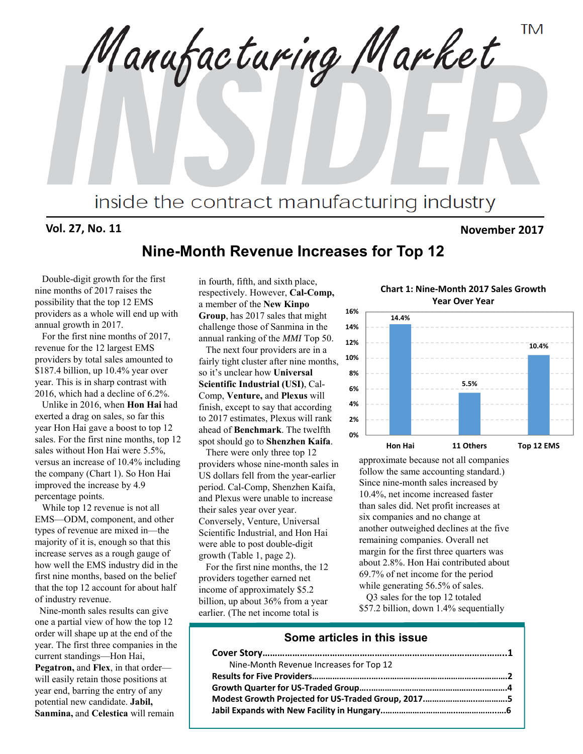**TM** Manufacturing Market inside the contract manufacturing industry

#### **Vol. 27, No. 11 November 2017**

#### **Nine-Month Revenue Increases for Top 12**

Double-digit growth for the first nine months of 2017 raises the possibility that the top 12 EMS providers as a whole will end up with annual growth in 2017.

For the first nine months of 2017, revenue for the 12 largest EMS providers by total sales amounted to \$187.4 billion, up 10.4% year over year. This is in sharp contrast with 2016, which had a decline of 6.2%.

Unlike in 2016, when **Hon Hai** had exerted a drag on sales, so far this year Hon Hai gave a boost to top 12 sales. For the first nine months, top 12 sales without Hon Hai were 5.5%, versus an increase of 10.4% including the company (Chart 1). So Hon Hai improved the increase by 4.9 percentage points.

While top 12 revenue is not all EMS—ODM, component, and other types of revenue are mixed in—the majority of it is, enough so that this increase serves as a rough gauge of how well the EMS industry did in the first nine months, based on the belief that the top 12 account for about half of industry revenue.

Nine-month sales results can give one a partial view of how the top 12 order will shape up at the end of the year. The first three companies in the current standings—Hon Hai, **Pegatron,** and **Flex**, in that order will easily retain those positions at year end, barring the entry of any potential new candidate. **Jabil, Sanmina,** and **Celestica** will remain

in fourth, fifth, and sixth place, respectively. However, **Cal-Comp,** a member of the **New Kinpo Group**, has 2017 sales that might challenge those of Sanmina in the annual ranking of the *MMI* Top 50.

The next four providers are in a fairly tight cluster after nine months, so it's unclear how **Universal Scientific Industrial (USI)**, Cal-Comp, **Venture,** and **Plexus** will finish, except to say that according to 2017 estimates, Plexus will rank ahead of **Benchmark**. The twelfth spot should go to **Shenzhen Kaifa**.

There were only three top 12 providers whose nine-month sales in US dollars fell from the year-earlier period. Cal-Comp, Shenzhen Kaifa, and Plexus were unable to increase their sales year over year. Conversely, Venture, Universal Scientific Industrial, and Hon Hai were able to post double-digit growth (Table 1, page 2).

For the first nine months, the 12 providers together earned net income of approximately \$5.2 billion, up about 36% from a year earlier. (The net income total is

**Chart 1: Nine‐Month 2017 Sales Growth Year Over Year**



approximate because not all companies follow the same accounting standard.) Since nine-month sales increased by 10.4%, net income increased faster than sales did. Net profit increases at six companies and no change at another outweighed declines at the five remaining companies. Overall net margin for the first three quarters was about 2.8%. Hon Hai contributed about 69.7% of net income for the period while generating 56.5% of sales.

Q3 sales for the top 12 totaled \$57.2 billion, down 1.4% sequentially

#### **Some articles in this issue**

| Nine-Month Revenue Increases for Top 12 |  |
|-----------------------------------------|--|
|                                         |  |
|                                         |  |
|                                         |  |
|                                         |  |
|                                         |  |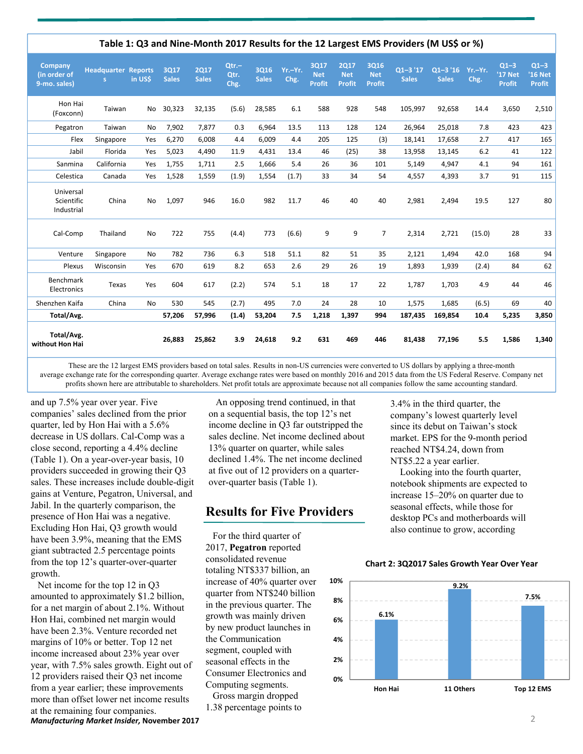|                                         |                                 |           |                      |                             |                          |                      |                 |                                     |                                     |                                            | Table 1: Q3 and Nine-Month 2017 Results for the 12 Largest EMS Providers (M US\$ or %) |                             |                 |                                    |                                    |
|-----------------------------------------|---------------------------------|-----------|----------------------|-----------------------------|--------------------------|----------------------|-----------------|-------------------------------------|-------------------------------------|--------------------------------------------|----------------------------------------------------------------------------------------|-----------------------------|-----------------|------------------------------------|------------------------------------|
| Company<br>(in order of<br>9-mo. sales) | <b>Headquarter Reports</b><br>s | in US\$   | 3017<br><b>Sales</b> | <b>2Q17</b><br><b>Sales</b> | $Qtr. -$<br>Qtr.<br>Chg. | 3016<br><b>Sales</b> | Yr.-Yr.<br>Chg. | 3017<br><b>Net</b><br><b>Profit</b> | 2017<br><b>Net</b><br><b>Profit</b> | <b>3Q16</b><br><b>Net</b><br><b>Profit</b> | $Q1 - 3'17$<br><b>Sales</b>                                                            | $Q1 - 3'16$<br><b>Sales</b> | Yr.-Yr.<br>Chg. | $Q1-3$<br>'17 Net<br><b>Profit</b> | $Q1-3$<br>'16 Net<br><b>Profit</b> |
| Hon Hai<br>(Foxconn)                    | Taiwan                          | No        | 30,323               | 32,135                      | (5.6)                    | 28,585               | 6.1             | 588                                 | 928                                 | 548                                        | 105,997                                                                                | 92,658                      | 14.4            | 3,650                              | 2,510                              |
| Pegatron                                | Taiwan                          | No        | 7,902                | 7,877                       | 0.3                      | 6,964                | 13.5            | 113                                 | 128                                 | 124                                        | 26,964                                                                                 | 25,018                      | 7.8             | 423                                | 423                                |
| Flex                                    | Singapore                       | Yes       | 6,270                | 6,008                       | 4.4                      | 6,009                | 4.4             | 205                                 | 125                                 | (3)                                        | 18,141                                                                                 | 17,658                      | 2.7             | 417                                | 165                                |
| Jabil                                   | Florida                         | Yes       | 5,023                | 4,490                       | 11.9                     | 4,431                | 13.4            | 46                                  | (25)                                | 38                                         | 13,958                                                                                 | 13,145                      | 6.2             | 41                                 | 122                                |
| Sanmina                                 | California                      | Yes       | 1,755                | 1,711                       | 2.5                      | 1,666                | 5.4             | 26                                  | 36                                  | 101                                        | 5,149                                                                                  | 4,947                       | 4.1             | 94                                 | 161                                |
| Celestica                               | Canada                          | Yes       | 1,528                | 1,559                       | (1.9)                    | 1,554                | (1.7)           | 33                                  | 34                                  | 54                                         | 4,557                                                                                  | 4,393                       | 3.7             | 91                                 | 115                                |
| Universal<br>Scientific<br>Industrial   | China                           | <b>No</b> | 1,097                | 946                         | 16.0                     | 982                  | 11.7            | 46                                  | 40                                  | 40                                         | 2,981                                                                                  | 2.494                       | 19.5            | 127                                | 80                                 |
| Cal-Comp                                | Thailand                        | <b>No</b> | 722                  | 755                         | (4.4)                    | 773                  | (6.6)           | 9                                   | 9                                   | $\overline{7}$                             | 2,314                                                                                  | 2,721                       | (15.0)          | 28                                 | 33                                 |
| Venture                                 | Singapore                       | <b>No</b> | 782                  | 736                         | 6.3                      | 518                  | 51.1            | 82                                  | 51                                  | 35                                         | 2,121                                                                                  | 1,494                       | 42.0            | 168                                | 94                                 |
| Plexus                                  | Wisconsin                       | Yes       | 670                  | 619                         | 8.2                      | 653                  | 2.6             | 29                                  | 26                                  | 19                                         | 1,893                                                                                  | 1,939                       | (2.4)           | 84                                 | 62                                 |
| <b>Benchmark</b><br>Electronics         | Texas                           | Yes       | 604                  | 617                         | (2.2)                    | 574                  | 5.1             | 18                                  | 17                                  | 22                                         | 1,787                                                                                  | 1,703                       | 4.9             | 44                                 | 46                                 |
| Shenzhen Kaifa                          | China                           | <b>No</b> | 530                  | 545                         | (2.7)                    | 495                  | 7.0             | 24                                  | 28                                  | 10                                         | 1,575                                                                                  | 1,685                       | (6.5)           | 69                                 | 40                                 |
| Total/Avg.                              |                                 |           | 57,206               | 57,996                      | (1.4)                    | 53,204               | 7.5             | 1,218                               | 1,397                               | 994                                        | 187,435                                                                                | 169,854                     | 10.4            | 5,235                              | 3,850                              |
| Total/Avg.<br>without Hon Hai           |                                 |           | 26.883               | 25,862                      | 3.9                      | 24,618               | 9.2             | 631                                 | 469                                 | 446                                        | 81,438                                                                                 | 77,196                      | 5.5             | 1,586                              | 1,340                              |

These are the 12 largest EMS providers based on total sales. Results in non-US currencies were converted to US dollars by applying a three-month average exchange rate for the corresponding quarter. Average exchange rates were based on monthly 2016 and 2015 data from the US Federal Reserve. Company net profits shown here are attributable to shareholders. Net profit totals are approximate because not all companies follow the same accounting standard.

and up 7.5% year over year. Five companies' sales declined from the prior quarter, led by Hon Hai with a 5.6% decrease in US dollars. Cal-Comp was a close second, reporting a 4.4% decline (Table 1). On a year-over-year basis, 10 providers succeeded in growing their Q3 sales. These increases include double-digit gains at Venture, Pegatron, Universal, and Jabil. In the quarterly comparison, the presence of Hon Hai was a negative. Excluding Hon Hai, Q3 growth would have been 3.9%, meaning that the EMS giant subtracted 2.5 percentage points from the top 12's quarter-over-quarter growth.

*Manufacturing Market Insider,* **November 2017** 2 Net income for the top 12 in Q3 amounted to approximately \$1.2 billion, for a net margin of about 2.1%. Without Hon Hai, combined net margin would have been 2.3%. Venture recorded net margins of 10% or better. Top 12 net income increased about 23% year over year, with 7.5% sales growth. Eight out of 12 providers raised their Q3 net income from a year earlier; these improvements more than offset lower net income results at the remaining four companies.

An opposing trend continued, in that on a sequential basis, the top 12's net income decline in Q3 far outstripped the sales decline. Net income declined about 13% quarter on quarter, while sales declined 1.4%. The net income declined at five out of 12 providers on a quarterover-quarter basis (Table 1).

#### **Results for Five Providers**

For the third quarter of 2017, **Pegatron** reported consolidated revenue totaling NT\$337 billion, an increase of 40% quarter over quarter from NT\$240 billion in the previous quarter. The growth was mainly driven by new product launches in the Communication segment, coupled with seasonal effects in the Consumer Electronics and Computing segments. Gross margin dropped

1.38 percentage points to

3.4% in the third quarter, the company's lowest quarterly level since its debut on Taiwan's stock market. EPS for the 9-month period reached NT\$4.24, down from NT\$5.22 a year earlier.

Looking into the fourth quarter, notebook shipments are expected to increase 15–20% on quarter due to seasonal effects, while those for desktop PCs and motherboards will also continue to grow, according

#### **Chart 2: 3Q2017 Sales Growth Year Over Year**

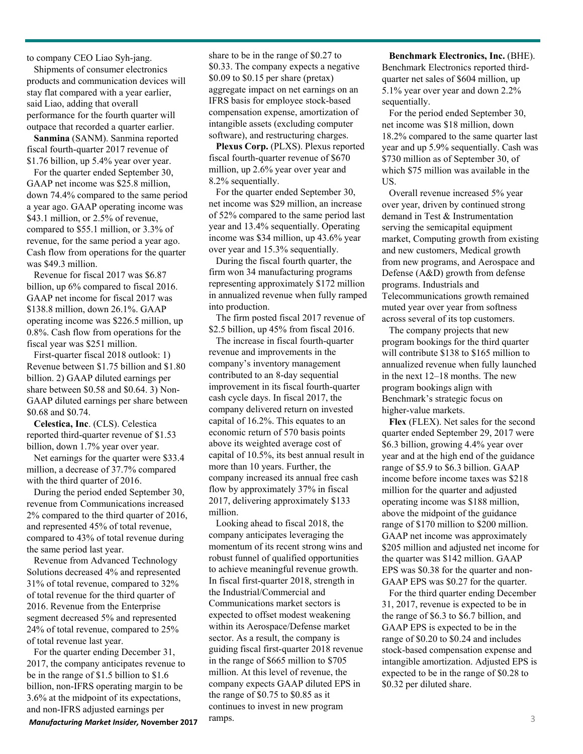to company CEO Liao Syh-jang.

Shipments of consumer electronics products and communication devices will stay flat compared with a year earlier, said Liao, adding that overall performance for the fourth quarter will outpace that recorded a quarter earlier.

**Sanmina** (SANM). Sanmina reported fiscal fourth-quarter 2017 revenue of \$1.76 billion, up 5.4% year over year.

For the quarter ended September 30, GAAP net income was \$25.8 million, down 74.4% compared to the same period a year ago. GAAP operating income was \$43.1 million, or 2.5% of revenue, compared to \$55.1 million, or 3.3% of revenue, for the same period a year ago. Cash flow from operations for the quarter was \$49.3 million.

Revenue for fiscal 2017 was \$6.87 billion, up 6% compared to fiscal 2016. GAAP net income for fiscal 2017 was \$138.8 million, down 26.1%. GAAP operating income was \$226.5 million, up 0.8%. Cash flow from operations for the fiscal year was \$251 million.

First-quarter fiscal 2018 outlook: 1) Revenue between \$1.75 billion and \$1.80 billion. 2) GAAP diluted earnings per share between \$0.58 and \$0.64. 3) Non-GAAP diluted earnings per share between \$0.68 and \$0.74.

**Celestica, Inc**. (CLS). Celestica reported third-quarter revenue of \$1.53 billion, down 1.7% year over year.

Net earnings for the quarter were \$33.4 million, a decrease of 37.7% compared with the third quarter of 2016.

During the period ended September 30, revenue from Communications increased 2% compared to the third quarter of 2016, and represented 45% of total revenue, compared to 43% of total revenue during the same period last year.

Revenue from Advanced Technology Solutions decreased 4% and represented 31% of total revenue, compared to 32% of total revenue for the third quarter of 2016. Revenue from the Enterprise segment decreased 5% and represented 24% of total revenue, compared to 25% of total revenue last year.

For the quarter ending December 31, 2017, the company anticipates revenue to be in the range of \$1.5 billion to \$1.6 billion, non-IFRS operating margin to be 3.6% at the midpoint of its expectations, and non-IFRS adjusted earnings per

share to be in the range of \$0.27 to \$0.33. The company expects a negative \$0.09 to \$0.15 per share (pretax) aggregate impact on net earnings on an IFRS basis for employee stock-based compensation expense, amortization of intangible assets (excluding computer software), and restructuring charges.

**Plexus Corp.** (PLXS). Plexus reported fiscal fourth-quarter revenue of \$670 million, up 2.6% year over year and 8.2% sequentially.

For the quarter ended September 30, net income was \$29 million, an increase of 52% compared to the same period last year and 13.4% sequentially. Operating income was \$34 million, up 43.6% year over year and 15.3% sequentially.

During the fiscal fourth quarter, the firm won 34 manufacturing programs representing approximately \$172 million in annualized revenue when fully ramped into production.

The firm posted fiscal 2017 revenue of \$2.5 billion, up 45% from fiscal 2016.

The increase in fiscal fourth-quarter revenue and improvements in the company's inventory management contributed to an 8-day sequential improvement in its fiscal fourth-quarter cash cycle days. In fiscal 2017, the company delivered return on invested capital of 16.2%. This equates to an economic return of 570 basis points above its weighted average cost of capital of 10.5%, its best annual result in more than 10 years. Further, the company increased its annual free cash flow by approximately 37% in fiscal 2017, delivering approximately \$133 million.

Looking ahead to fiscal 2018, the company anticipates leveraging the momentum of its recent strong wins and robust funnel of qualified opportunities to achieve meaningful revenue growth. In fiscal first-quarter 2018, strength in the Industrial/Commercial and Communications market sectors is expected to offset modest weakening within its Aerospace/Defense market sector. As a result, the company is guiding fiscal first-quarter 2018 revenue in the range of \$665 million to \$705 million. At this level of revenue, the company expects GAAP diluted EPS in the range of \$0.75 to \$0.85 as it continues to invest in new program *Manufacturing Market Insider, November 2017**Camps.* **23 <b>3** 3

**Benchmark Electronics, Inc.** (BHE). Benchmark Electronics reported thirdquarter net sales of \$604 million, up 5.1% year over year and down 2.2% sequentially.

For the period ended September 30, net income was \$18 million, down 18.2% compared to the same quarter last year and up 5.9% sequentially. Cash was \$730 million as of September 30, of which \$75 million was available in the US.

Overall revenue increased 5% year over year, driven by continued strong demand in Test & Instrumentation serving the semicapital equipment market, Computing growth from existing and new customers, Medical growth from new programs, and Aerospace and Defense (A&D) growth from defense programs. Industrials and Telecommunications growth remained muted year over year from softness across several of its top customers.

The company projects that new program bookings for the third quarter will contribute \$138 to \$165 million to annualized revenue when fully launched in the next 12–18 months. The new program bookings align with Benchmark's strategic focus on higher‐value markets.

**Flex** (FLEX). Net sales for the second quarter ended September 29, 2017 were \$6.3 billion, growing 4.4% year over year and at the high end of the guidance range of \$5.9 to \$6.3 billion. GAAP income before income taxes was \$218 million for the quarter and adjusted operating income was \$188 million, above the midpoint of the guidance range of \$170 million to \$200 million. GAAP net income was approximately \$205 million and adjusted net income for the quarter was \$142 million. GAAP EPS was \$0.38 for the quarter and non-GAAP EPS was \$0.27 for the quarter.

For the third quarter ending December 31, 2017, revenue is expected to be in the range of \$6.3 to \$6.7 billion, and GAAP EPS is expected to be in the range of \$0.20 to \$0.24 and includes stock-based compensation expense and intangible amortization. Adjusted EPS is expected to be in the range of \$0.28 to \$0.32 per diluted share.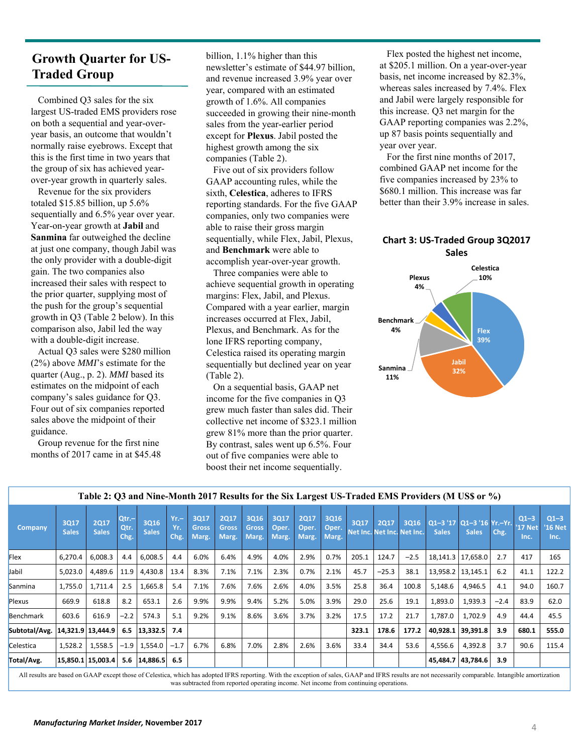#### **Growth Quarter for US-Traded Group**

Combined Q3 sales for the six largest US-traded EMS providers rose on both a sequential and year-overyear basis, an outcome that wouldn't normally raise eyebrows. Except that this is the first time in two years that the group of six has achieved yearover-year growth in quarterly sales.

Revenue for the six providers totaled \$15.85 billion, up 5.6% sequentially and 6.5% year over year. Year-on-year growth at **Jabil** and **Sanmina** far outweighed the decline at just one company, though Jabil was the only provider with a double-digit gain. The two companies also increased their sales with respect to the prior quarter, supplying most of the push for the group's sequential growth in Q3 (Table 2 below). In this comparison also, Jabil led the way with a double-digit increase.

Actual Q3 sales were \$280 million (2%) above *MMI*'s estimate for the quarter (Aug., p. 2). *MMI* based its estimates on the midpoint of each company's sales guidance for Q3. Four out of six companies reported sales above the midpoint of their guidance.

Group revenue for the first nine months of 2017 came in at \$45.48 billion, 1.1% higher than this newsletter's estimate of \$44.97 billion, and revenue increased 3.9% year over year, compared with an estimated growth of 1.6%. All companies succeeded in growing their nine-month sales from the year-earlier period except for **Plexus**. Jabil posted the highest growth among the six companies (Table 2).

Five out of six providers follow GAAP accounting rules, while the sixth, **Celestica**, adheres to IFRS reporting standards. For the five GAAP companies, only two companies were able to raise their gross margin sequentially, while Flex, Jabil, Plexus, and **Benchmark** were able to accomplish year-over-year growth.

Three companies were able to achieve sequential growth in operating margins: Flex, Jabil, and Plexus. Compared with a year earlier, margin increases occurred at Flex, Jabil, Plexus, and Benchmark. As for the lone IFRS reporting company, Celestica raised its operating margin sequentially but declined year on year (Table 2).

On a sequential basis, GAAP net income for the five companies in Q3 grew much faster than sales did. Their collective net income of \$323.1 million grew 81% more than the prior quarter. By contrast, sales went up 6.5%. Four out of five companies were able to boost their net income sequentially.

Flex posted the highest net income, at \$205.1 million. On a year-over-year basis, net income increased by 82.3%, whereas sales increased by 7.4%. Flex and Jabil were largely responsible for this increase. Q3 net margin for the GAAP reporting companies was 2.2%, up 87 basis points sequentially and year over year.

For the first nine months of 2017, combined GAAP net income for the five companies increased by 23% to \$680.1 million. This increase was far better than their 3.9% increase in sales.

#### **Chart 3: US‐Traded Group 3Q2017 Sales**



|                |                      |                             |                          |                             |                       |                               |                                      |                               |                        |                               |                        |       |         |                            |                                                | Table 2: O3 and Nine-Month 2017 Results for the SIX Largest US-Traded EMIS Providers (M US\$ or %) |          |                           |                           |
|----------------|----------------------|-----------------------------|--------------------------|-----------------------------|-----------------------|-------------------------------|--------------------------------------|-------------------------------|------------------------|-------------------------------|------------------------|-------|---------|----------------------------|------------------------------------------------|----------------------------------------------------------------------------------------------------|----------|---------------------------|---------------------------|
| <b>Company</b> | 3017<br><b>Sales</b> | <b>2Q17</b><br><b>Sales</b> | $Qtr. -$<br>Qtr.<br>Chg. | <b>3Q16</b><br><b>Sales</b> | $Yr -$<br>Yr.<br>Chg. | 3017<br><b>Gross</b><br>Marg. | <b>2Q17</b><br><b>Gross</b><br>Marg. | 3Q16<br><b>Gross</b><br>Marg. | 3Q17<br>Oper.<br>Marg. | <b>2Q17</b><br>Oper.<br>Marg. | 3Q16<br>Oper.<br>Marg. | 3017  | 2017    | Net Inc. Net Inc. Net Inc. | 3016 01-3 '17 01-3 '16 Yr.-Yr.<br><b>Sales</b> | <b>Sales</b>                                                                                       | $ $ Chg. | $Q1-3$<br>'17 Net<br>Inc. | $Q1-3$<br>'16 Net<br>Inc. |
| <b>Flex</b>    | 6,270.4              | 6,008.3                     | 4.4                      | 6,008.5                     | 4.4                   | 6.0%                          | 6.4%                                 | 4.9%                          | 4.0%                   | 2.9%                          | 0.7%                   | 205.1 | 124.7   | $-2.5$                     |                                                | 18,141.3   17,658.0                                                                                | 2.7      | 417                       | 165                       |
| Jabil          | 5,023.0              | 4,489.6                     |                          | $11.9$   4,430.8            | 13.4                  | 8.3%                          | 7.1%                                 | 7.1%                          | 2.3%                   | 0.7%                          | 2.1%                   | 45.7  | $-25.3$ | 38.1                       |                                                | 13,958.2   13,145.1                                                                                | 6.2      | 41.1                      | 122.2                     |
| Sanmina        | 1,755.0              | 1,711.4                     | 2.5                      | 1,665.8                     | 5.4                   | 7.1%                          | 7.6%                                 | 7.6%                          | 2.6%                   | 4.0%                          | 3.5%                   | 25.8  | 36.4    | 100.8                      | 5,148.6                                        | 4,946.5                                                                                            | 4.1      | 94.0                      | 160.7                     |
| Plexus         | 669.9                | 618.8                       | 8.2                      | 653.1                       | 2.6                   | 9.9%                          | 9.9%                                 | 9.4%                          | 5.2%                   | 5.0%                          | 3.9%                   | 29.0  | 25.6    | 19.1                       | 1,893.0                                        | 1,939.3                                                                                            | $-2.4$   | 83.9                      | 62.0                      |
| Benchmark      | 603.6                | 616.9                       | $-2.2$                   | 574.3                       | 5.1                   | 9.2%                          | 9.1%                                 | 8.6%                          | 3.6%                   | 3.7%                          | 3.2%                   | 17.5  | 17.2    | 21.7                       | 1,787.0                                        | 1,702.9                                                                                            | 4.9      | 44.4                      | 45.5                      |
| Subtotal/Avg.  |                      | 14,321.9 13,444.9           |                          | $6.5$  13,332.5  7.4        |                       |                               |                                      |                               |                        |                               |                        | 323.1 | 178.6   | 177.2                      |                                                | 40,928.1 39,391.8                                                                                  | 3.9      | 680.1                     | 555.0                     |
| Celestica      | 1,528.2              | 1,558.5                     |                          | $-1.9$   1,554.0            | $-1.7$                | 6.7%                          | 6.8%                                 | 7.0%                          | 2.8%                   | 2.6%                          | 3.6%                   | 33.4  | 34.4    | 53.6                       | 4,556.6                                        | 4,392.8                                                                                            | 3.7      | 90.6                      | 115.4                     |
| Total/Avg.     |                      | 15,850.1 15,003.4           |                          | $5.6$   14,886.5            | 6.5                   |                               |                                      |                               |                        |                               |                        |       |         |                            |                                                | 45,484.7   43,784.6                                                                                | 3.9      |                           |                           |

**Table 2: Q3 and Nine-Month 2017 Results for the Six Largest US-Traded EMS Providers (M US\$ or %)**

All results are based on GAAP except those of Celestica, which has adopted IFRS reporting. With the exception of sales, GAAP and IFRS results are not necessarily comparable. Intangible amortization was subtracted from reported operating income. Net income from continuing operations.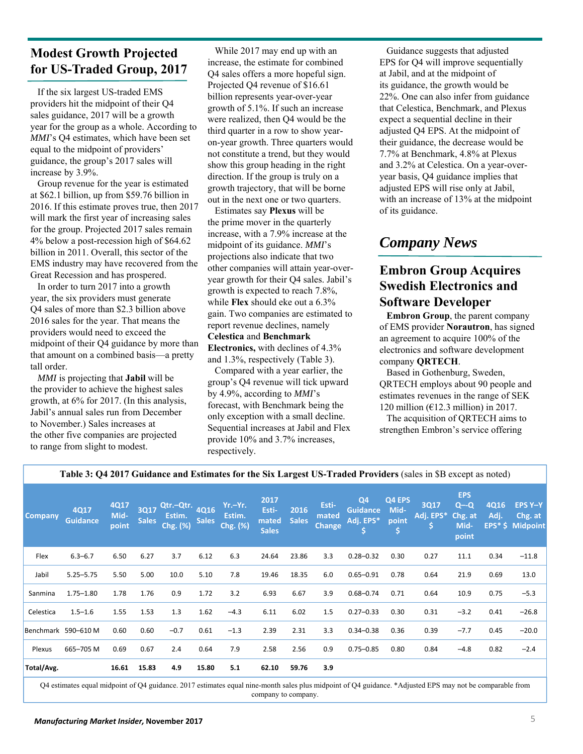#### **Modest Growth Projected for US-Traded Group, 2017**

If the six largest US-traded EMS providers hit the midpoint of their Q4 sales guidance, 2017 will be a growth year for the group as a whole. According to *MMI*'s Q4 estimates, which have been set equal to the midpoint of providers' guidance, the group's 2017 sales will increase by 3.9%.

Group revenue for the year is estimated at \$62.1 billion, up from \$59.76 billion in 2016. If this estimate proves true, then 2017 will mark the first year of increasing sales for the group. Projected 2017 sales remain 4% below a post-recession high of \$64.62 billion in 2011. Overall, this sector of the EMS industry may have recovered from the Great Recession and has prospered.

In order to turn 2017 into a growth year, the six providers must generate Q4 sales of more than \$2.3 billion above 2016 sales for the year. That means the providers would need to exceed the midpoint of their Q4 guidance by more than that amount on a combined basis—a pretty tall order.

*MMI* is projecting that **Jabil** will be the provider to achieve the highest sales growth, at 6% for 2017. (In this analysis, Jabil's annual sales run from December to November.) Sales increases at the other five companies are projected to range from slight to modest.

While 2017 may end up with an increase, the estimate for combined Q4 sales offers a more hopeful sign. Projected Q4 revenue of \$16.61 billion represents year-over-year growth of 5.1%. If such an increase were realized, then Q4 would be the third quarter in a row to show yearon-year growth. Three quarters would not constitute a trend, but they would show this group heading in the right direction. If the group is truly on a growth trajectory, that will be borne out in the next one or two quarters.

Estimates say **Plexus** will be the prime mover in the quarterly increase, with a 7.9% increase at the midpoint of its guidance. *MMI*'s projections also indicate that two other companies will attain year-overyear growth for their Q4 sales. Jabil's growth is expected to reach 7.8%, while **Flex** should eke out a 6.3% gain. Two companies are estimated to report revenue declines, namely **Celestica** and **Benchmark Electronics,** with declines of 4.3% and 1.3%, respectively (Table 3).

Compared with a year earlier, the group's Q4 revenue will tick upward by 4.9%, according to *MMI*'s forecast, with Benchmark being the only exception with a small decline. Sequential increases at Jabil and Flex provide 10% and 3.7% increases, respectively.

Guidance suggests that adjusted EPS for Q4 will improve sequentially at Jabil, and at the midpoint of its guidance, the growth would be 22%. One can also infer from guidance that Celestica, Benchmark, and Plexus expect a sequential decline in their adjusted Q4 EPS. At the midpoint of their guidance, the decrease would be 7.7% at Benchmark, 4.8% at Plexus and 3.2% at Celestica. On a year-overyear basis, Q4 guidance implies that adjusted EPS will rise only at Jabil, with an increase of 13% at the midpoint of its guidance.

# *Company News*

#### **Embron Group Acquires Swedish Electronics and Software Developer**

**Embron Group**, the parent company of EMS provider **Norautron**, has signed an agreement to acquire 100% of the electronics and software development company **QRTECH**.

Based in Gothenburg, Sweden, QRTECH employs about 90 people and estimates revenues in the range of SEK 120 million ( $\epsilon$ 12.3 million) in 2017.

The acquisition of QRTECH aims to strengthen Embron's service offering

| <b>Company</b> | <b>4Q17</b><br><b>Guidance</b> | 4Q17<br>Mid-<br>point | <b>3Q17</b><br><b>Sales</b> | Qtr.-Qtr.<br>Estim.<br>Chg. (%) | 4Q16<br><b>Sales</b> | Yr.-Yr.<br>Estim.<br>Chg. (%) | 2017<br>Esti-<br>mated<br><b>Sales</b> | 2016<br><b>Sales</b> | Esti-<br>mated<br><b>Change</b> | Q <sub>4</sub><br><b>Guidance</b><br>Adj. EPS* | Q4 EPS<br>Mid-<br>point<br>Ś | <b>3Q17</b><br>Adj. EPS*<br>IS, | <b>EPS</b><br>$Q - Q$<br>Chg. at<br>Mid-<br>point | <b>4Q16</b><br>Adj. | <b>EPS Y-Y</b><br>Chg. at<br>EPS* \$ Midpoint |
|----------------|--------------------------------|-----------------------|-----------------------------|---------------------------------|----------------------|-------------------------------|----------------------------------------|----------------------|---------------------------------|------------------------------------------------|------------------------------|---------------------------------|---------------------------------------------------|---------------------|-----------------------------------------------|
| Flex           | $6.3 - 6.7$                    | 6.50                  | 6.27                        | 3.7                             | 6.12                 | 6.3                           | 24.64                                  | 23.86                | 3.3                             | $0.28 - 0.32$                                  | 0.30                         | 0.27                            | 11.1                                              | 0.34                | $-11.8$                                       |
| Jabil          | $5.25 - 5.75$                  | 5.50                  | 5.00                        | 10.0                            | 5.10                 | 7.8                           | 19.46                                  | 18.35                | 6.0                             | $0.65 - 0.91$                                  | 0.78                         | 0.64                            | 21.9                                              | 0.69                | 13.0                                          |
| Sanmina        | $1.75 - 1.80$                  | 1.78                  | 1.76                        | 0.9                             | 1.72                 | 3.2                           | 6.93                                   | 6.67                 | 3.9                             | $0.68 - 0.74$                                  | 0.71                         | 0.64                            | 10.9                                              | 0.75                | $-5.3$                                        |
| Celestica      | $1.5 - 1.6$                    | 1.55                  | 1.53                        | 1.3                             | 1.62                 | $-4.3$                        | 6.11                                   | 6.02                 | 1.5                             | $0.27 - 0.33$                                  | 0.30                         | 0.31                            | $-3.2$                                            | 0.41                | $-26.8$                                       |
|                | Benchmark 590-610 M            | 0.60                  | 0.60                        | $-0.7$                          | 0.61                 | $-1.3$                        | 2.39                                   | 2.31                 | 3.3                             | $0.34 - 0.38$                                  | 0.36                         | 0.39                            | $-7.7$                                            | 0.45                | $-20.0$                                       |
| Plexus         | 665-705 M                      | 0.69                  | 0.67                        | 2.4                             | 0.64                 | 7.9                           | 2.58                                   | 2.56                 | 0.9                             | $0.75 - 0.85$                                  | 0.80                         | 0.84                            | $-4.8$                                            | 0.82                | $-2.4$                                        |
| Total/Avg.     |                                | 16.61                 | 15.83                       | 4.9                             | 15.80                | 5.1                           | 62.10                                  | 59.76                | 3.9                             |                                                |                              |                                 |                                                   |                     |                                               |

#### **Table 3: Q4 2017 Guidance and Estimates for the Six Largest US-Traded Providers** (sales in \$B except as noted)

Q4 estimates equal midpoint of Q4 guidance. 2017 estimates equal nine-month sales plus midpoint of Q4 guidance. \*Adjusted EPS may not be comparable from company to company.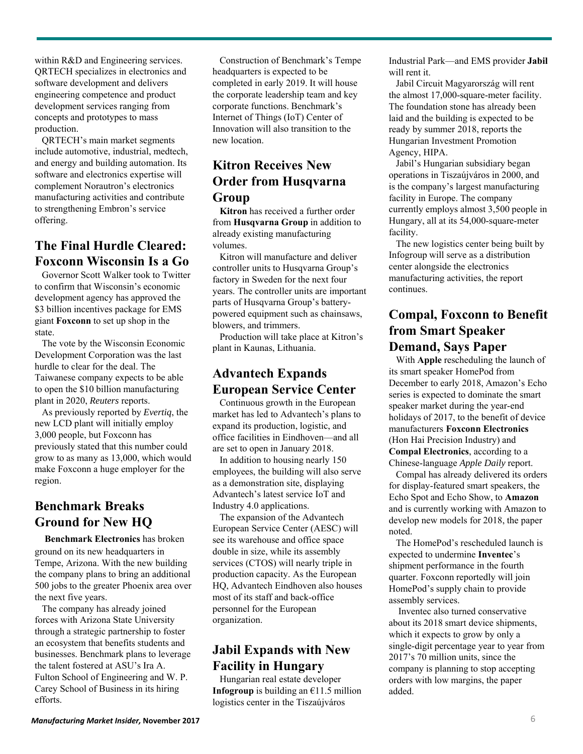within R&D and Engineering services. QRTECH specializes in electronics and software development and delivers engineering competence and product development services ranging from concepts and prototypes to mass production.

QRTECH's main market segments include automotive, industrial, medtech, and energy and building automation. Its software and electronics expertise will complement Norautron's electronics manufacturing activities and contribute to strengthening Embron's service offering.

## **The Final Hurdle Cleared: Foxconn Wisconsin Is a Go**

Governor Scott Walker took to Twitter to confirm that Wisconsin's economic development agency has approved the \$3 billion incentives package for EMS giant **Foxconn** to set up shop in the state.

The vote by the Wisconsin Economic Development Corporation was the last hurdle to clear for the deal. The Taiwanese company expects to be able to open the \$10 billion manufacturing plant in 2020, *Reuters* reports.

As previously reported by *Evertiq*, the new LCD plant will initially employ 3,000 people, but Foxconn has previously stated that this number could grow to as many as 13,000, which would make Foxconn a huge employer for the region.

# **Benchmark Breaks Ground for New HQ**

**Benchmark Electronics** has broken ground on its new headquarters in Tempe, Arizona. With the new building the company plans to bring an additional 500 jobs to the greater Phoenix area over the next five years.

The company has already joined forces with Arizona State University through a strategic partnership to foster an ecosystem that benefits students and businesses. Benchmark plans to leverage the talent fostered at ASU's Ira A. Fulton School of Engineering and W. P. Carey School of Business in its hiring efforts.

Construction of Benchmark's Tempe headquarters is expected to be completed in early 2019. It will house the corporate leadership team and key corporate functions. Benchmark's Internet of Things (IoT) Center of Innovation will also transition to the new location.

# **Kitron Receives New Order from Husqvarna Group**

**Kitron** has received a further order from **Husqvarna Group** in addition to already existing manufacturing volumes.

Kitron will manufacture and deliver controller units to Husqvarna Group's factory in Sweden for the next four years. The controller units are important parts of Husqvarna Group's batterypowered equipment such as chainsaws, blowers, and trimmers.

Production will take place at Kitron's plant in Kaunas, Lithuania.

## **Advantech Expands European Service Center**

Continuous growth in the European market has led to Advantech's plans to expand its production, logistic, and office facilities in Eindhoven—and all are set to open in January 2018.

In addition to housing nearly 150 employees, the building will also serve as a demonstration site, displaying Advantech's latest service IoT and Industry 4.0 applications.

The expansion of the Advantech European Service Center (AESC) will see its warehouse and office space double in size, while its assembly services (CTOS) will nearly triple in production capacity. As the European HQ, Advantech Eindhoven also houses most of its staff and back-office personnel for the European organization.

# **Jabil Expands with New Facility in Hungary**

Hungarian real estate developer **Infogroup** is building an  $\epsilon$ 11.5 million logistics center in the Tiszaújváros

Industrial Park—and EMS provider **Jabil** will rent it.

Jabil Circuit Magyarország will rent the almost 17,000-square-meter facility. The foundation stone has already been laid and the building is expected to be ready by summer 2018, reports the Hungarian Investment Promotion Agency, HIPA.

Jabil's Hungarian subsidiary began operations in Tiszaújváros in 2000, and is the company's largest manufacturing facility in Europe. The company currently employs almost 3,500 people in Hungary, all at its 54,000-square-meter facility.

The new logistics center being built by Infogroup will serve as a distribution center alongside the electronics manufacturing activities, the report continues.

## **Compal, Foxconn to Benefit from Smart Speaker Demand, Says Paper**

With **Apple** rescheduling the launch of its smart speaker HomePod from December to early 2018, Amazon's Echo series is expected to dominate the smart speaker market during the year-end holidays of 2017, to the benefit of device manufacturers **Foxconn Electronics**  (Hon Hai Precision Industry) and **Compal Electronics**, according to a Chinese-language *Apple Daily* report.

Compal has already delivered its orders for display-featured smart speakers, the Echo Spot and Echo Show, to **Amazon** and is currently working with Amazon to develop new models for 2018, the paper noted.

The HomePod's rescheduled launch is expected to undermine **Inventec**'s shipment performance in the fourth quarter. Foxconn reportedly will join HomePod's supply chain to provide assembly services.

Inventec also turned conservative about its 2018 smart device shipments, which it expects to grow by only a single-digit percentage year to year from 2017's 70 million units, since the company is planning to stop accepting orders with low margins, the paper added.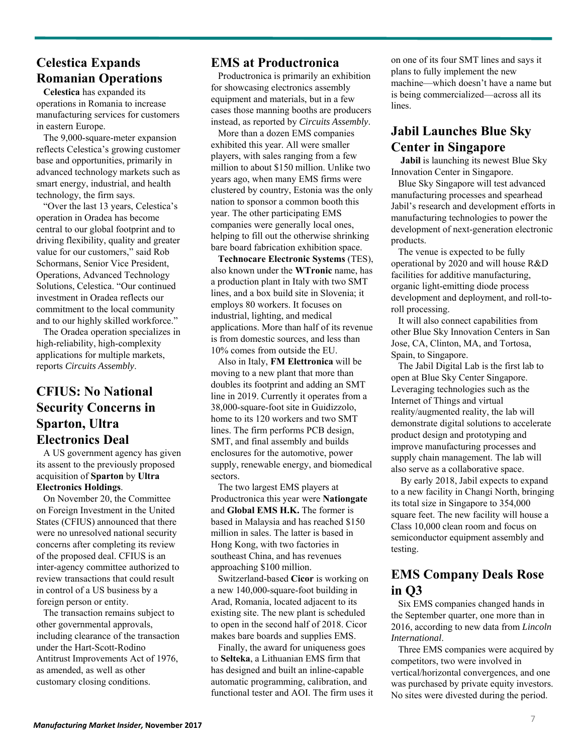#### **Celestica Expands Romanian Operations**

**Celestica** has expanded its operations in Romania to increase manufacturing services for customers in eastern Europe.

The 9,000-square-meter expansion reflects Celestica's growing customer base and opportunities, primarily in advanced technology markets such as smart energy, industrial, and health technology, the firm says.

"Over the last 13 years, Celestica's operation in Oradea has become central to our global footprint and to driving flexibility, quality and greater value for our customers," said Rob Schormans, Senior Vice President, Operations, Advanced Technology Solutions, Celestica. "Our continued investment in Oradea reflects our commitment to the local community and to our highly skilled workforce."

The Oradea operation specializes in high-reliability, high-complexity applications for multiple markets, reports *Circuits Assembly*.

#### **CFIUS: No National Security Concerns in Sparton, Ultra Electronics Deal**

A US government agency has given its assent to the previously proposed acquisition of **Sparton** by **Ultra Electronics Holdings**.

On November 20, the Committee on Foreign Investment in the United States (CFIUS) announced that there were no unresolved national security concerns after completing its review of the proposed deal. CFIUS is an inter-agency committee authorized to review transactions that could result in control of a US business by a foreign person or entity.

The transaction remains subject to other governmental approvals, including clearance of the transaction under the Hart-Scott-Rodino Antitrust Improvements Act of 1976, as amended, as well as other customary closing conditions.

#### **EMS at Productronica**

Productronica is primarily an exhibition for showcasing electronics assembly equipment and materials, but in a few cases those manning booths are producers instead, as reported by *Circuits Assembly*.

More than a dozen EMS companies exhibited this year. All were smaller players, with sales ranging from a few million to about \$150 million. Unlike two years ago, when many EMS firms were clustered by country, Estonia was the only nation to sponsor a common booth this year. The other participating EMS companies were generally local ones, helping to fill out the otherwise shrinking bare board fabrication exhibition space.

**Technocare Electronic Systems** (TES), also known under the **WTronic** name, has a production plant in Italy with two SMT lines, and a box build site in Slovenia; it employs 80 workers. It focuses on industrial, lighting, and medical applications. More than half of its revenue is from domestic sources, and less than 10% comes from outside the EU.

Also in Italy, **FM Elettronica** will be moving to a new plant that more than doubles its footprint and adding an SMT line in 2019. Currently it operates from a 38,000-square-foot site in Guidizzolo, home to its 120 workers and two SMT lines. The firm performs PCB design, SMT, and final assembly and builds enclosures for the automotive, power supply, renewable energy, and biomedical sectors.

The two largest EMS players at Productronica this year were **Nationgate** and **Global EMS H.K.** The former is based in Malaysia and has reached \$150 million in sales. The latter is based in Hong Kong, with two factories in southeast China, and has revenues approaching \$100 million.

Switzerland-based **Cicor** is working on a new 140,000-square-foot building in Arad, Romania, located adjacent to its existing site. The new plant is scheduled to open in the second half of 2018. Cicor makes bare boards and supplies EMS.

Finally, the award for uniqueness goes to **Selteka**, a Lithuanian EMS firm that has designed and built an inline-capable automatic programming, calibration, and functional tester and AOI. The firm uses it on one of its four SMT lines and says it plans to fully implement the new machine—which doesn't have a name but is being commercialized—across all its lines.

# **Jabil Launches Blue Sky Center in Singapore**

**Jabil** is launching its newest Blue Sky Innovation Center in Singapore.

Blue Sky Singapore will test advanced manufacturing processes and spearhead Jabil's research and development efforts in manufacturing technologies to power the development of next-generation electronic products.

The venue is expected to be fully operational by 2020 and will house R&D facilities for additive manufacturing, organic light-emitting diode process development and deployment, and roll-toroll processing.

It will also connect capabilities from other Blue Sky Innovation Centers in San Jose, CA, Clinton, MA, and Tortosa, Spain, to Singapore.

The Jabil Digital Lab is the first lab to open at Blue Sky Center Singapore. Leveraging technologies such as the Internet of Things and virtual reality/augmented reality, the lab will demonstrate digital solutions to accelerate product design and prototyping and improve manufacturing processes and supply chain management. The lab will also serve as a collaborative space.

By early 2018, Jabil expects to expand to a new facility in Changi North, bringing its total size in Singapore to 354,000 square feet. The new facility will house a Class 10,000 clean room and focus on semiconductor equipment assembly and testing.

#### **EMS Company Deals Rose in Q3**

Six EMS companies changed hands in the September quarter, one more than in 2016, according to new data from *Lincoln International*.

Three EMS companies were acquired by competitors, two were involved in vertical/horizontal convergences, and one was purchased by private equity investors. No sites were divested during the period.